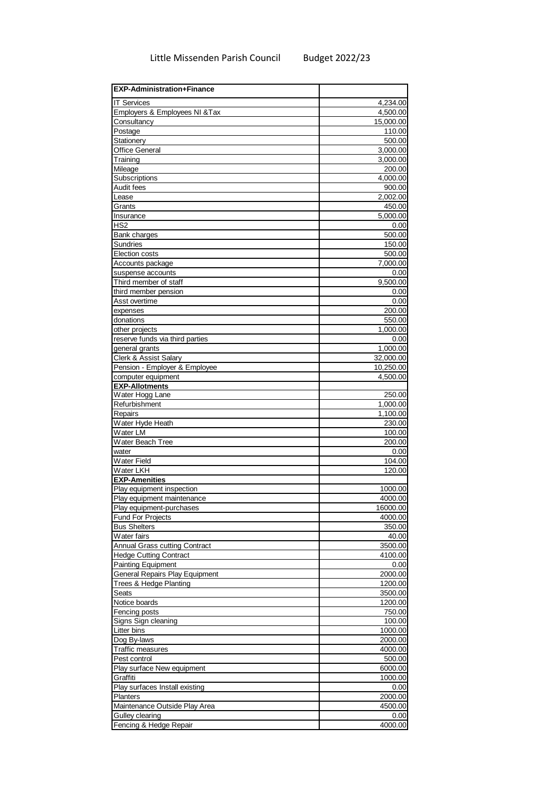| <b>EXP-Administration+Finance</b>     |                    |
|---------------------------------------|--------------------|
| <b>IT Services</b>                    | 4,234.00           |
| Employers & Employees NI & Tax        | 4,500.00           |
| Consultancy                           | 15,000.00          |
| Postage                               | 110.00             |
| Stationery                            | 500.00             |
| <b>Office General</b>                 | 3,000.00           |
| Training                              | 3,000.00           |
| Mileage                               | 200.00<br>4,000.00 |
| Subscriptions<br>Audit fees           | 900.00             |
| Lease                                 | 2,002.00           |
| Grants                                | 450.00             |
| Insurance                             | 5,000.00           |
| HS <sub>2</sub>                       | 0.00               |
| Bank charges                          | 500.00             |
| Sundries                              | 150.00             |
| <b>Election costs</b>                 | 500.00             |
| Accounts package                      | 7,000.00           |
| suspense accounts                     | 0.00               |
| Third member of staff                 | 9,500.00           |
| third member pension                  | 0.00               |
| Asst overtime                         | 0.00               |
| expenses                              | 200.00             |
| donations<br>other projects           | 550.00<br>1,000.00 |
| reserve funds via third parties       | 0.00               |
| general grants                        | 1,000.00           |
| <b>Clerk &amp; Assist Salary</b>      | 32,000.00          |
| Pension - Employer & Employee         | 10,250.00          |
| computer equipment                    | 4,500.00           |
| <b>EXP-Allotments</b>                 |                    |
| Water Hogg Lane                       | 250.00             |
| Refurbishment                         | 1,000.00           |
| Repairs                               | 1,100.00           |
| Water Hyde Heath                      | 230.00             |
| Water LM                              | 100.00             |
| Water Beach Tree                      | 200.00             |
| water<br>Water Field                  | 0.00<br>104.00     |
| Water LKH                             | 120.00             |
| <b>EXP-Amenities</b>                  |                    |
| Play equipment inspection             | 1000.00            |
| Play equipment maintenance            | 4000.00            |
| Play equipment-purchases              | 16000.00           |
| <b>Fund For Projects</b>              | 4000.00            |
| <b>Bus Shelters</b>                   | 350.00             |
| Water fairs                           | 40.00              |
| <b>Annual Grass cutting Contract</b>  | 3500.00            |
| <b>Hedge Cutting Contract</b>         | 4100.00            |
| <b>Painting Equipment</b>             | 0.00               |
| <b>General Repairs Play Equipment</b> | 2000.00            |
| Trees & Hedge Planting<br>Seats       | 1200.00<br>3500.00 |
| Notice boards                         | 1200.00            |
| Fencing posts                         | 750.00             |
| Signs Sign cleaning                   | 100.00             |
| Litter bins                           | 1000.00            |
| Dog By-laws                           | 2000.00            |
| Traffic measures                      | 4000.00            |
| Pest control                          | 500.00             |
| Play surface New equipment            | 6000.00            |
| Graffiti                              | 1000.00            |
| Play surfaces Install existing        | 0.00               |
| Planters                              | 2000.00            |
| Maintenance Outside Play Area         | 4500.00            |
| Gulley clearing                       | 0.00               |
| Fencing & Hedge Repair                | 4000.00            |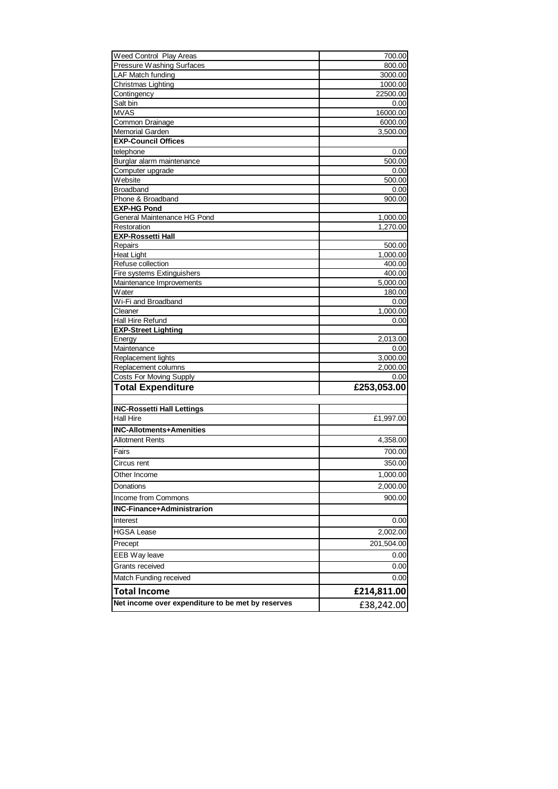| Weed Control Play Areas                           | 700.00              |
|---------------------------------------------------|---------------------|
| Pressure Washing Surfaces                         | 800.00              |
| <b>LAF Match funding</b>                          | 3000.00             |
| Christmas Lighting                                | 1000.00             |
| Contingency                                       | 22500.00            |
| Salt bin<br><b>MVAS</b>                           | 0.00                |
| Common Drainage                                   | 16000.00<br>6000.00 |
| Memorial Garden                                   | 3,500.00            |
| <b>EXP-Council Offices</b>                        |                     |
| telephone                                         | 0.00                |
| Burglar alarm maintenance                         | 500.00              |
| Computer upgrade                                  | 0.00                |
| Website                                           | 500.00              |
| <b>Broadband</b>                                  | 0.00                |
| Phone & Broadband                                 | 900.00              |
| <b>EXP-HG Pond</b>                                |                     |
| General Maintenance HG Pond                       | 1,000.00            |
| Restoration<br><b>EXP-Rossetti Hall</b>           | 1,270.00            |
| Repairs                                           | 500.00              |
| <b>Heat Light</b>                                 | 1,000.00            |
| Refuse collection                                 | 400.00              |
| Fire systems Extinguishers                        | 400.00              |
| Maintenance Improvements                          | 5,000.00            |
| Water                                             | 180.00              |
| Wi-Fi and Broadband                               | 0.00                |
| Cleaner                                           | 1,000.00            |
| Hall Hire Refund<br><b>EXP-Street Lighting</b>    | 0.00                |
| Energy                                            | 2,013.00            |
| Maintenance                                       | 0.00                |
| Replacement lights                                | 3,000.00            |
| Replacement columns                               | 2,000.00            |
| <b>Costs For Moving Supply</b>                    | 0.00                |
| <b>Total Expenditure</b>                          | £253,053.00         |
| <b>INC-Rossetti Hall Lettings</b>                 |                     |
| <b>Hall Hire</b>                                  | £1,997.00           |
| <b>INC-Allotments+Amenities</b>                   |                     |
| <b>Allotment Rents</b>                            | 4,358.00            |
| Fairs                                             | 700.00              |
| Circus rent                                       | 350.00              |
| Other Income                                      | 1,000.00            |
| Donations                                         | 2,000.00            |
| Income from Commons                               | 900.00              |
| <b>INC-Finance+Administrarion</b>                 |                     |
|                                                   |                     |
| Interest                                          | 0.00                |
| HGSA Lease                                        | 2,002.00            |
| Precept                                           | 201,504.00          |
| EEB Way leave                                     | 0.00                |
| Grants received                                   | 0.00                |
| Match Funding received                            | 0.00                |
| <b>Total Income</b>                               | £214,811.00         |
| Net income over expenditure to be met by reserves | £38,242.00          |
|                                                   |                     |